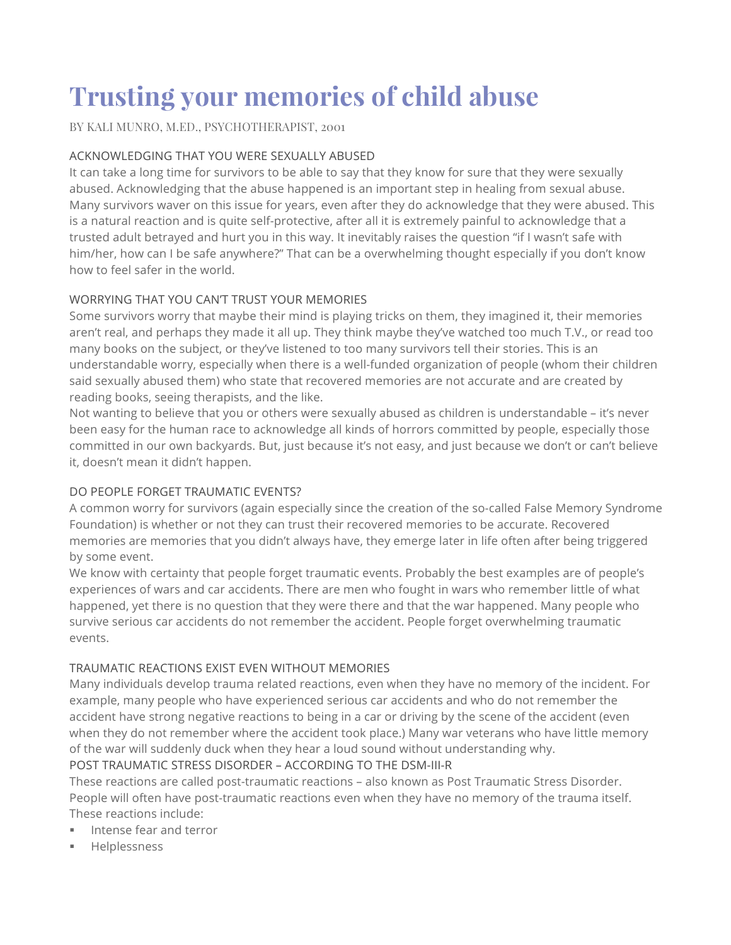# **Trusting your memories of child abuse**

BY KALI MUNRO, M.ED., PSYCHOTHERAPIST, 2001

# ACKNOWLEDGING THAT YOU WERE SEXUALLY ABUSED

It can take a long time for survivors to be able to say that they know for sure that they were sexually abused. Acknowledging that the abuse happened is an important step in healing from sexual abuse. Many survivors waver on this issue for years, even after they do acknowledge that they were abused. This is a natural reaction and is quite self-protective, after all it is extremely painful to acknowledge that a trusted adult betrayed and hurt you in this way. It inevitably raises the question "if I wasn't safe with him/her, how can I be safe anywhere?" That can be a overwhelming thought especially if you don't know how to feel safer in the world.

# WORRYING THAT YOU CAN'T TRUST YOUR MEMORIES

Some survivors worry that maybe their mind is playing tricks on them, they imagined it, their memories aren't real, and perhaps they made it all up. They think maybe they've watched too much T.V., or read too many books on the subject, or they've listened to too many survivors tell their stories. This is an understandable worry, especially when there is a well-funded organization of people (whom their children said sexually abused them) who state that recovered memories are not accurate and are created by reading books, seeing therapists, and the like.

Not wanting to believe that you or others were sexually abused as children is understandable – it's never been easy for the human race to acknowledge all kinds of horrors committed by people, especially those committed in our own backyards. But, just because it's not easy, and just because we don't or can't believe it, doesn't mean it didn't happen.

# DO PEOPLE FORGET TRAUMATIC EVENTS?

A common worry for survivors (again especially since the creation of the so-called False Memory Syndrome Foundation) is whether or not they can trust their recovered memories to be accurate. Recovered memories are memories that you didn't always have, they emerge later in life often after being triggered by some event.

We know with certainty that people forget traumatic events. Probably the best examples are of people's experiences of wars and car accidents. There are men who fought in wars who remember little of what happened, yet there is no question that they were there and that the war happened. Many people who survive serious car accidents do not remember the accident. People forget overwhelming traumatic events.

# TRAUMATIC REACTIONS EXIST EVEN WITHOUT MEMORIES

Many individuals develop trauma related reactions, even when they have no memory of the incident. For example, many people who have experienced serious car accidents and who do not remember the accident have strong negative reactions to being in a car or driving by the scene of the accident (even when they do not remember where the accident took place.) Many war veterans who have little memory of the war will suddenly duck when they hear a loud sound without understanding why.

# POST TRAUMATIC STRESS DISORDER – ACCORDING TO THE DSM-III-R

These reactions are called post-traumatic reactions – also known as Post Traumatic Stress Disorder. People will often have post-traumatic reactions even when they have no memory of the trauma itself. These reactions include:

- **EXEC** Intense fear and terror
- § Helplessness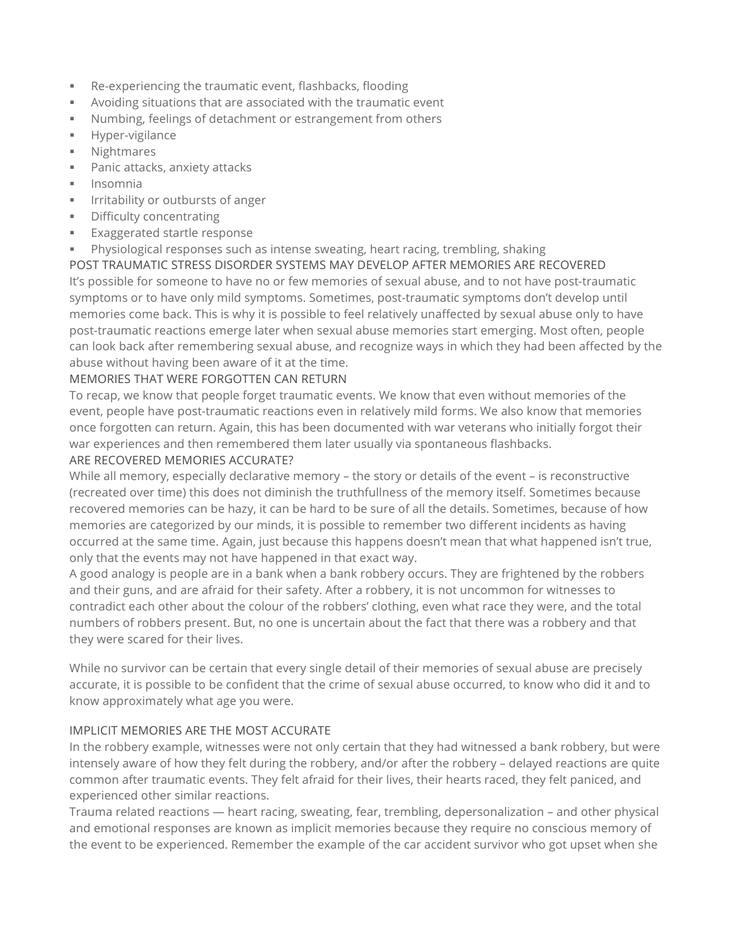- § Re-experiencing the traumatic event, flashbacks, flooding
- § Avoiding situations that are associated with the traumatic event
- § Numbing, feelings of detachment or estrangement from others
- § Hyper-vigilance
- § Nightmares
- Panic attacks, anxiety attacks
- § Insomnia
- **■** Irritability or outbursts of anger
- § Difficulty concentrating
- § Exaggerated startle response
- § Physiological responses such as intense sweating, heart racing, trembling, shaking

POST TRAUMATIC STRESS DISORDER SYSTEMS MAY DEVELOP AFTER MEMORIES ARE RECOVERED It's possible for someone to have no or few memories of sexual abuse, and to not have post-traumatic symptoms or to have only mild symptoms. Sometimes, post-traumatic symptoms don't develop until memories come back. This is why it is possible to feel relatively unaffected by sexual abuse only to have post-traumatic reactions emerge later when sexual abuse memories start emerging. Most often, people can look back after remembering sexual abuse, and recognize ways in which they had been affected by the abuse without having been aware of it at the time.

#### MEMORIES THAT WERE FORGOTTEN CAN RETURN

To recap, we know that people forget traumatic events. We know that even without memories of the event, people have post-traumatic reactions even in relatively mild forms. We also know that memories once forgotten can return. Again, this has been documented with war veterans who initially forgot their war experiences and then remembered them later usually via spontaneous flashbacks.

#### ARE RECOVERED MEMORIES ACCURATE?

While all memory, especially declarative memory – the story or details of the event – is reconstructive (recreated over time) this does not diminish the truthfullness of the memory itself. Sometimes because recovered memories can be hazy, it can be hard to be sure of all the details. Sometimes, because of how memories are categorized by our minds, it is possible to remember two different incidents as having occurred at the same time. Again, just because this happens doesn't mean that what happened isn't true, only that the events may not have happened in that exact way.

A good analogy is people are in a bank when a bank robbery occurs. They are frightened by the robbers and their guns, and are afraid for their safety. After a robbery, it is not uncommon for witnesses to contradict each other about the colour of the robbers' clothing, even what race they were, and the total numbers of robbers present. But, no one is uncertain about the fact that there was a robbery and that they were scared for their lives.

While no survivor can be certain that every single detail of their memories of sexual abuse are precisely accurate, it is possible to be confident that the crime of sexual abuse occurred, to know who did it and to know approximately what age you were.

#### IMPLICIT MEMORIES ARE THE MOST ACCURATE

In the robbery example, witnesses were not only certain that they had witnessed a bank robbery, but were intensely aware of how they felt during the robbery, and/or after the robbery – delayed reactions are quite common after traumatic events. They felt afraid for their lives, their hearts raced, they felt paniced, and experienced other similar reactions.

Trauma related reactions — heart racing, sweating, fear, trembling, depersonalization – and other physical and emotional responses are known as implicit memories because they require no conscious memory of the event to be experienced. Remember the example of the car accident survivor who got upset when she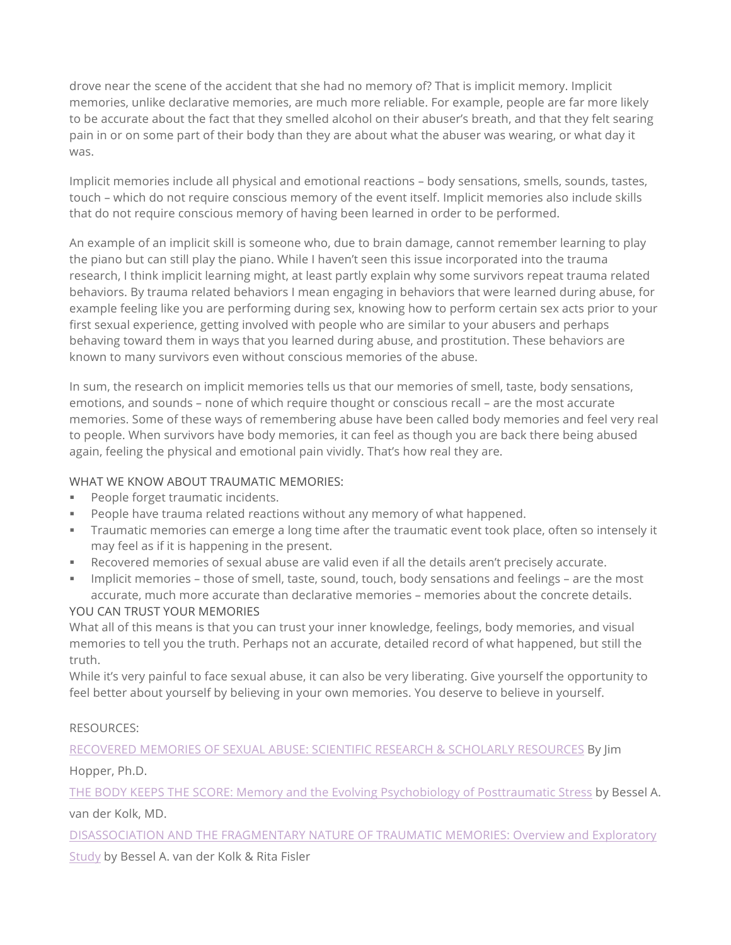drove near the scene of the accident that she had no memory of? That is implicit memory. Implicit memories, unlike declarative memories, are much more reliable. For example, people are far more likely to be accurate about the fact that they smelled alcohol on their abuser's breath, and that they felt searing pain in or on some part of their body than they are about what the abuser was wearing, or what day it was.

Implicit memories include all physical and emotional reactions – body sensations, smells, sounds, tastes, touch – which do not require conscious memory of the event itself. Implicit memories also include skills that do not require conscious memory of having been learned in order to be performed.

An example of an implicit skill is someone who, due to brain damage, cannot remember learning to play the piano but can still play the piano. While I haven't seen this issue incorporated into the trauma research, I think implicit learning might, at least partly explain why some survivors repeat trauma related behaviors. By trauma related behaviors I mean engaging in behaviors that were learned during abuse, for example feeling like you are performing during sex, knowing how to perform certain sex acts prior to your first sexual experience, getting involved with people who are similar to your abusers and perhaps behaving toward them in ways that you learned during abuse, and prostitution. These behaviors are known to many survivors even without conscious memories of the abuse.

In sum, the research on implicit memories tells us that our memories of smell, taste, body sensations, emotions, and sounds – none of which require thought or conscious recall – are the most accurate memories. Some of these ways of remembering abuse have been called body memories and feel very real to people. When survivors have body memories, it can feel as though you are back there being abused again, feeling the physical and emotional pain vividly. That's how real they are.

# WHAT WE KNOW ABOUT TRAUMATIC MEMORIES:

- People forget traumatic incidents.
- § People have trauma related reactions without any memory of what happened.
- § Traumatic memories can emerge a long time after the traumatic event took place, often so intensely it may feel as if it is happening in the present.
- § Recovered memories of sexual abuse are valid even if all the details aren't precisely accurate.
- § Implicit memories those of smell, taste, sound, touch, body sensations and feelings are the most accurate, much more accurate than declarative memories – memories about the concrete details. YOU CAN TRUST YOUR MEMORIES

What all of this means is that you can trust your inner knowledge, feelings, body memories, and visual memories to tell you the truth. Perhaps not an accurate, detailed record of what happened, but still the truth.

While it's very painful to face sexual abuse, it can also be very liberating. Give yourself the opportunity to feel better about yourself by believing in your own memories. You deserve to believe in yourself.

#### RESOURCES:

RECOVERED MEMORIES OF SEXUAL ABUSE: SCIENTIFIC RESEARCH & SCHOLARLY RESOURCES By Jim

Hopper, Ph.D.

THE BODY KEEPS THE SCORE: Memory and the Evolving Psychobiology of Posttraumatic Stress by Bessel A. van der Kolk, MD.

DISASSOCIATION AND THE FRAGMENTARY NATURE OF TRAUMATIC MEMORIES: Overview and Exploratory

Study by Bessel A. van der Kolk & Rita Fisler